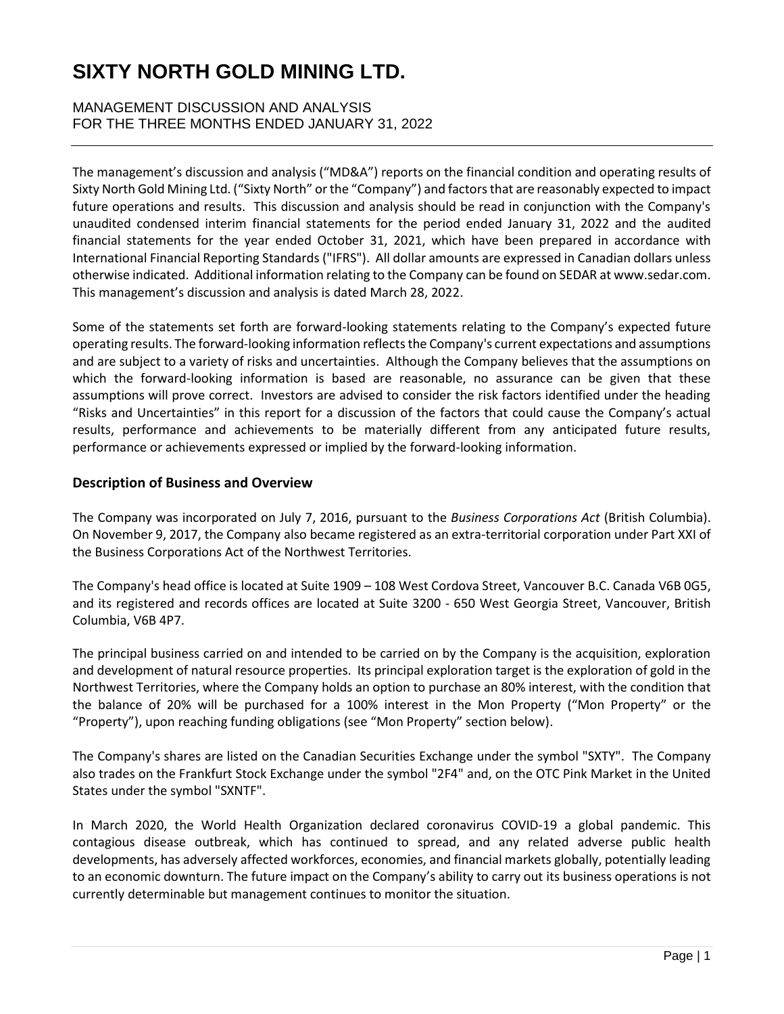MANAGEMENT DISCUSSION AND ANALYSIS FOR THE THREE MONTHS ENDED JANUARY 31, 2022

The management's discussion and analysis ("MD&A") reports on the financial condition and operating results of Sixty North Gold Mining Ltd. ("Sixty North" or the "Company") and factors that are reasonably expected to impact future operations and results. This discussion and analysis should be read in conjunction with the Company's unaudited condensed interim financial statements for the period ended January 31, 2022 and the audited financial statements for the year ended October 31, 2021, which have been prepared in accordance with International Financial Reporting Standards ("IFRS"). All dollar amounts are expressed in Canadian dollars unless otherwise indicated. Additional information relating to the Company can be found on SEDAR at www.sedar.com. This management's discussion and analysis is dated March 28, 2022.

Some of the statements set forth are forward-looking statements relating to the Company's expected future operating results. The forward-looking information reflects the Company's current expectations and assumptions and are subject to a variety of risks and uncertainties. Although the Company believes that the assumptions on which the forward-looking information is based are reasonable, no assurance can be given that these assumptions will prove correct. Investors are advised to consider the risk factors identified under the heading "Risks and Uncertainties" in this report for a discussion of the factors that could cause the Company's actual results, performance and achievements to be materially different from any anticipated future results, performance or achievements expressed or implied by the forward-looking information.

#### **Description of Business and Overview**

The Company was incorporated on July 7, 2016, pursuant to the *Business Corporations Act* (British Columbia). On November 9, 2017, the Company also became registered as an extra-territorial corporation under Part XXI of the Business Corporations Act of the Northwest Territories.

The Company's head office is located at Suite 1909 – 108 West Cordova Street, Vancouver B.C. Canada V6B 0G5, and its registered and records offices are located at Suite 3200 - 650 West Georgia Street, Vancouver, British Columbia, V6B 4P7.

The principal business carried on and intended to be carried on by the Company is the acquisition, exploration and development of natural resource properties. Its principal exploration target is the exploration of gold in the Northwest Territories, where the Company holds an option to purchase an 80% interest, with the condition that the balance of 20% will be purchased for a 100% interest in the Mon Property ("Mon Property" or the "Property"), upon reaching funding obligations (see "Mon Property" section below).

The Company's shares are listed on the Canadian Securities Exchange under the symbol "SXTY". The Company also trades on the Frankfurt Stock Exchange under the symbol "2F4" and, on the OTC Pink Market in the United States under the symbol "SXNTF".

In March 2020, the World Health Organization declared coronavirus COVID-19 a global pandemic. This contagious disease outbreak, which has continued to spread, and any related adverse public health developments, has adversely affected workforces, economies, and financial markets globally, potentially leading to an economic downturn. The future impact on the Company's ability to carry out its business operations is not currently determinable but management continues to monitor the situation.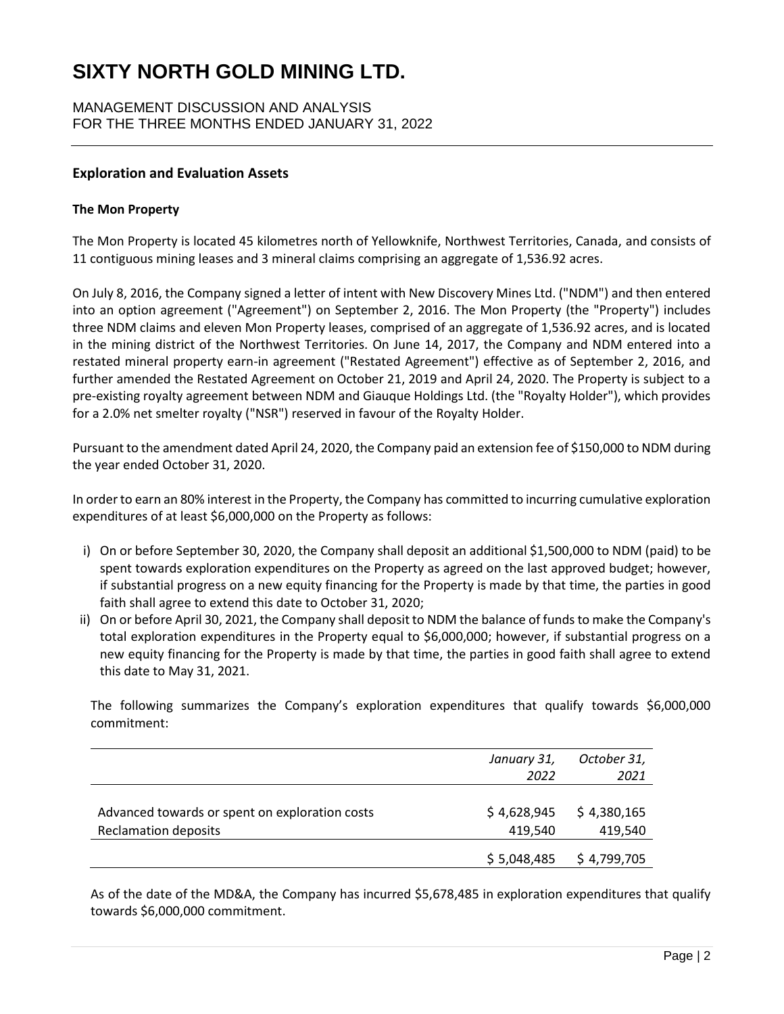MANAGEMENT DISCUSSION AND ANALYSIS FOR THE THREE MONTHS ENDED JANUARY 31, 2022

### **Exploration and Evaluation Assets**

#### **The Mon Property**

The Mon Property is located 45 kilometres north of Yellowknife, Northwest Territories, Canada, and consists of 11 contiguous mining leases and 3 mineral claims comprising an aggregate of 1,536.92 acres.

On July 8, 2016, the Company signed a letter of intent with New Discovery Mines Ltd. ("NDM") and then entered into an option agreement ("Agreement") on September 2, 2016. The Mon Property (the "Property") includes three NDM claims and eleven Mon Property leases, comprised of an aggregate of 1,536.92 acres, and is located in the mining district of the Northwest Territories. On June 14, 2017, the Company and NDM entered into a restated mineral property earn-in agreement ("Restated Agreement") effective as of September 2, 2016, and further amended the Restated Agreement on October 21, 2019 and April 24, 2020. The Property is subject to a pre-existing royalty agreement between NDM and Giauque Holdings Ltd. (the "Royalty Holder"), which provides for a 2.0% net smelter royalty ("NSR") reserved in favour of the Royalty Holder.

Pursuant to the amendment dated April 24, 2020, the Company paid an extension fee of \$150,000 to NDM during the year ended October 31, 2020.

In order to earn an 80% interest in the Property, the Company has committed to incurring cumulative exploration expenditures of at least \$6,000,000 on the Property as follows:

- i) On or before September 30, 2020, the Company shall deposit an additional \$1,500,000 to NDM (paid) to be spent towards exploration expenditures on the Property as agreed on the last approved budget; however, if substantial progress on a new equity financing for the Property is made by that time, the parties in good faith shall agree to extend this date to October 31, 2020;
- ii) On or before April 30, 2021, the Company shall deposit to NDM the balance of funds to make the Company's total exploration expenditures in the Property equal to \$6,000,000; however, if substantial progress on a new equity financing for the Property is made by that time, the parties in good faith shall agree to extend this date to May 31, 2021.

The following summarizes the Company's exploration expenditures that qualify towards \$6,000,000 commitment:

|                                                | January 31, | October 31, |
|------------------------------------------------|-------------|-------------|
|                                                | 2022        | 2021        |
|                                                |             |             |
| Advanced towards or spent on exploration costs | \$4,628,945 | \$4,380,165 |
| <b>Reclamation deposits</b>                    | 419.540     | 419,540     |
|                                                | \$5,048,485 | \$4,799,705 |

As of the date of the MD&A, the Company has incurred \$5,678,485 in exploration expenditures that qualify towards \$6,000,000 commitment.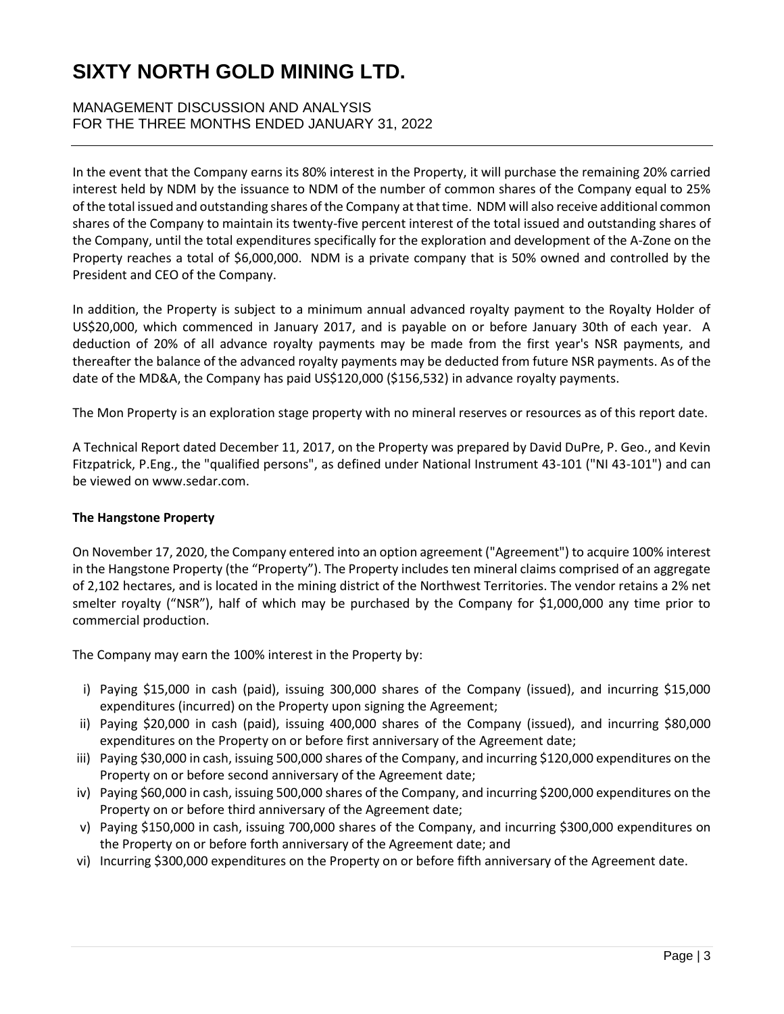## MANAGEMENT DISCUSSION AND ANALYSIS FOR THE THREE MONTHS ENDED JANUARY 31, 2022

In the event that the Company earns its 80% interest in the Property, it will purchase the remaining 20% carried interest held by NDM by the issuance to NDM of the number of common shares of the Company equal to 25% of the total issued and outstanding shares of the Company at that time. NDM will also receive additional common shares of the Company to maintain its twenty-five percent interest of the total issued and outstanding shares of the Company, until the total expenditures specifically for the exploration and development of the A-Zone on the Property reaches a total of \$6,000,000. NDM is a private company that is 50% owned and controlled by the President and CEO of the Company.

In addition, the Property is subject to a minimum annual advanced royalty payment to the Royalty Holder of US\$20,000, which commenced in January 2017, and is payable on or before January 30th of each year. A deduction of 20% of all advance royalty payments may be made from the first year's NSR payments, and thereafter the balance of the advanced royalty payments may be deducted from future NSR payments. As of the date of the MD&A, the Company has paid US\$120,000 (\$156,532) in advance royalty payments.

The Mon Property is an exploration stage property with no mineral reserves or resources as of this report date.

A Technical Report dated December 11, 2017, on the Property was prepared by David DuPre, P. Geo., and Kevin Fitzpatrick, P.Eng., the "qualified persons", as defined under National Instrument 43-101 ("NI 43-101") and can be viewed on www.sedar.com.

## **The Hangstone Property**

On November 17, 2020, the Company entered into an option agreement ("Agreement") to acquire 100% interest in the Hangstone Property (the "Property"). The Property includes ten mineral claims comprised of an aggregate of 2,102 hectares, and is located in the mining district of the Northwest Territories. The vendor retains a 2% net smelter royalty ("NSR"), half of which may be purchased by the Company for \$1,000,000 any time prior to commercial production.

The Company may earn the 100% interest in the Property by:

- i) Paying \$15,000 in cash (paid), issuing 300,000 shares of the Company (issued), and incurring \$15,000 expenditures (incurred) on the Property upon signing the Agreement;
- ii) Paying \$20,000 in cash (paid), issuing 400,000 shares of the Company (issued), and incurring \$80,000 expenditures on the Property on or before first anniversary of the Agreement date;
- iii) Paying \$30,000 in cash, issuing 500,000 shares of the Company, and incurring \$120,000 expenditures on the Property on or before second anniversary of the Agreement date;
- iv) Paying \$60,000 in cash, issuing 500,000 shares of the Company, and incurring \$200,000 expenditures on the Property on or before third anniversary of the Agreement date;
- v) Paying \$150,000 in cash, issuing 700,000 shares of the Company, and incurring \$300,000 expenditures on the Property on or before forth anniversary of the Agreement date; and
- vi) Incurring \$300,000 expenditures on the Property on or before fifth anniversary of the Agreement date.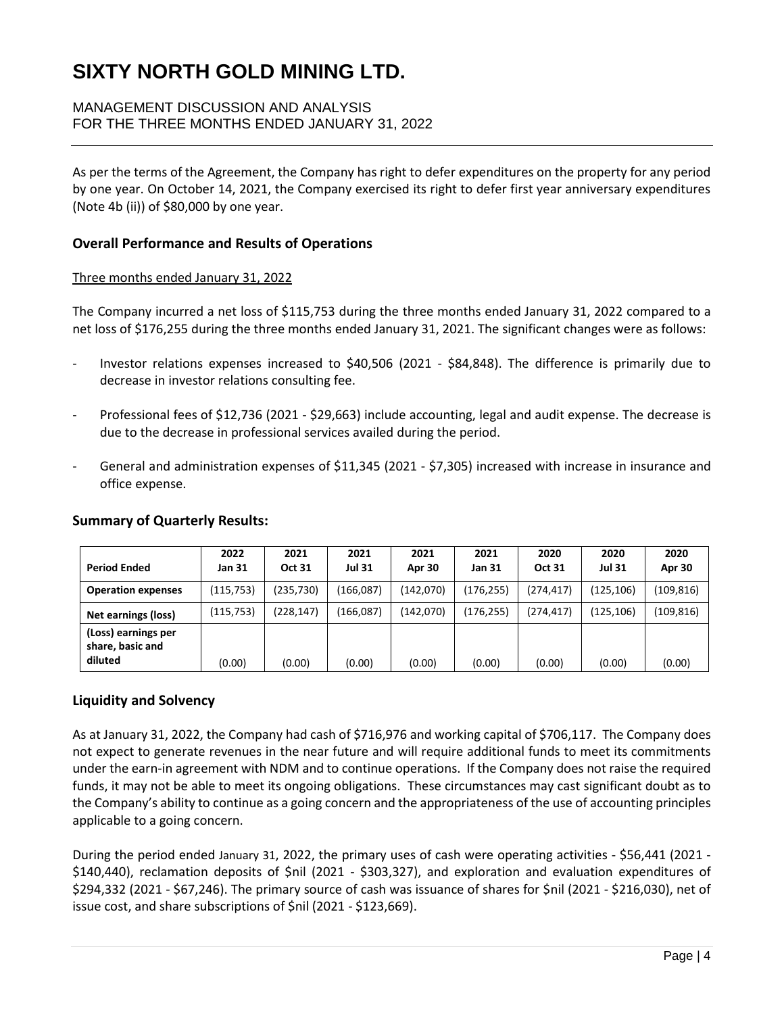## MANAGEMENT DISCUSSION AND ANALYSIS FOR THE THREE MONTHS ENDED JANUARY 31, 2022

As per the terms of the Agreement, the Company has right to defer expenditures on the property for any period by one year. On October 14, 2021, the Company exercised its right to defer first year anniversary expenditures (Note 4b (ii)) of \$80,000 by one year.

### **Overall Performance and Results of Operations**

#### Three months ended January 31, 2022

The Company incurred a net loss of \$115,753 during the three months ended January 31, 2022 compared to a net loss of \$176,255 during the three months ended January 31, 2021. The significant changes were as follows:

- Investor relations expenses increased to \$40,506 (2021 \$84,848). The difference is primarily due to decrease in investor relations consulting fee.
- Professional fees of \$12,736 (2021 \$29,663) include accounting, legal and audit expense. The decrease is due to the decrease in professional services availed during the period.
- General and administration expenses of \$11,345 (2021 \$7,305) increased with increase in insurance and office expense.

| <b>Period Ended</b>                                | 2022<br>Jan 31 | 2021<br><b>Oct 31</b> | 2021<br><b>Jul 31</b> | 2021<br>Apr 30 | 2021<br>Jan 31 | 2020<br><b>Oct 31</b> | 2020<br><b>Jul 31</b> | 2020<br>Apr 30 |
|----------------------------------------------------|----------------|-----------------------|-----------------------|----------------|----------------|-----------------------|-----------------------|----------------|
| <b>Operation expenses</b>                          | (115, 753)     | (235, 730)            | (166,087)             | (142,070)      | (176, 255)     | (274, 417)            | (125, 106)            | (109,816)      |
| Net earnings (loss)                                | (115, 753)     | (228, 147)            | (166,087)             | (142,070)      | (176, 255)     | (274.417)             | (125, 106)            | (109, 816)     |
| (Loss) earnings per<br>share, basic and<br>diluted | (0.00)         | (0.00)                | (0.00)                | (0.00)         | (0.00)         | (0.00)                | (0.00)                | (0.00)         |

#### **Summary of Quarterly Results:**

## **Liquidity and Solvency**

As at January 31, 2022, the Company had cash of \$716,976 and working capital of \$706,117. The Company does not expect to generate revenues in the near future and will require additional funds to meet its commitments under the earn-in agreement with NDM and to continue operations. If the Company does not raise the required funds, it may not be able to meet its ongoing obligations. These circumstances may cast significant doubt as to the Company's ability to continue as a going concern and the appropriateness of the use of accounting principles applicable to a going concern.

During the period ended January 31, 2022, the primary uses of cash were operating activities - \$56,441 (2021 - \$140,440), reclamation deposits of \$nil (2021 - \$303,327), and exploration and evaluation expenditures of \$294,332 (2021 - \$67,246). The primary source of cash was issuance of shares for \$nil (2021 - \$216,030), net of issue cost, and share subscriptions of \$nil (2021 - \$123,669).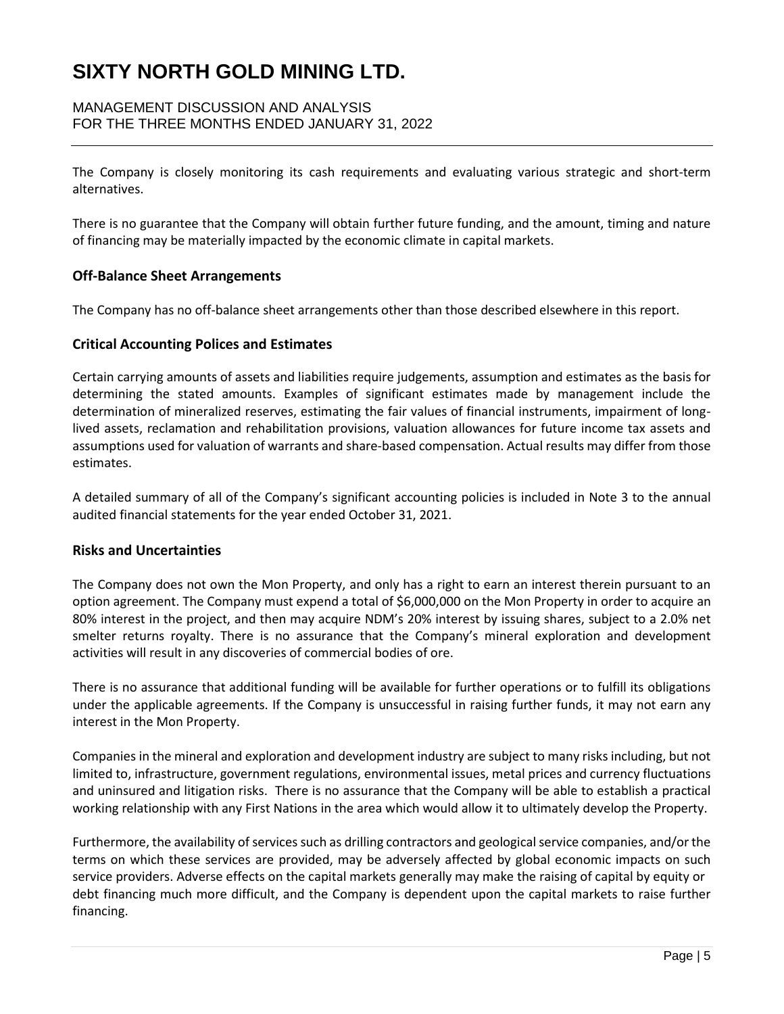## MANAGEMENT DISCUSSION AND ANALYSIS FOR THE THREE MONTHS ENDED JANUARY 31, 2022

The Company is closely monitoring its cash requirements and evaluating various strategic and short-term alternatives.

There is no guarantee that the Company will obtain further future funding, and the amount, timing and nature of financing may be materially impacted by the economic climate in capital markets.

#### **Off-Balance Sheet Arrangements**

The Company has no off-balance sheet arrangements other than those described elsewhere in this report.

#### **Critical Accounting Polices and Estimates**

Certain carrying amounts of assets and liabilities require judgements, assumption and estimates as the basis for determining the stated amounts. Examples of significant estimates made by management include the determination of mineralized reserves, estimating the fair values of financial instruments, impairment of longlived assets, reclamation and rehabilitation provisions, valuation allowances for future income tax assets and assumptions used for valuation of warrants and share-based compensation. Actual results may differ from those estimates.

A detailed summary of all of the Company's significant accounting policies is included in Note 3 to the annual audited financial statements for the year ended October 31, 2021.

#### **Risks and Uncertainties**

The Company does not own the Mon Property, and only has a right to earn an interest therein pursuant to an option agreement. The Company must expend a total of \$6,000,000 on the Mon Property in order to acquire an 80% interest in the project, and then may acquire NDM's 20% interest by issuing shares, subject to a 2.0% net smelter returns royalty. There is no assurance that the Company's mineral exploration and development activities will result in any discoveries of commercial bodies of ore.

There is no assurance that additional funding will be available for further operations or to fulfill its obligations under the applicable agreements. If the Company is unsuccessful in raising further funds, it may not earn any interest in the Mon Property.

Companies in the mineral and exploration and development industry are subject to many risks including, but not limited to, infrastructure, government regulations, environmental issues, metal prices and currency fluctuations and uninsured and litigation risks. There is no assurance that the Company will be able to establish a practical working relationship with any First Nations in the area which would allow it to ultimately develop the Property.

Furthermore, the availability of services such as drilling contractors and geological service companies, and/or the terms on which these services are provided, may be adversely affected by global economic impacts on such service providers. Adverse effects on the capital markets generally may make the raising of capital by equity or debt financing much more difficult, and the Company is dependent upon the capital markets to raise further financing.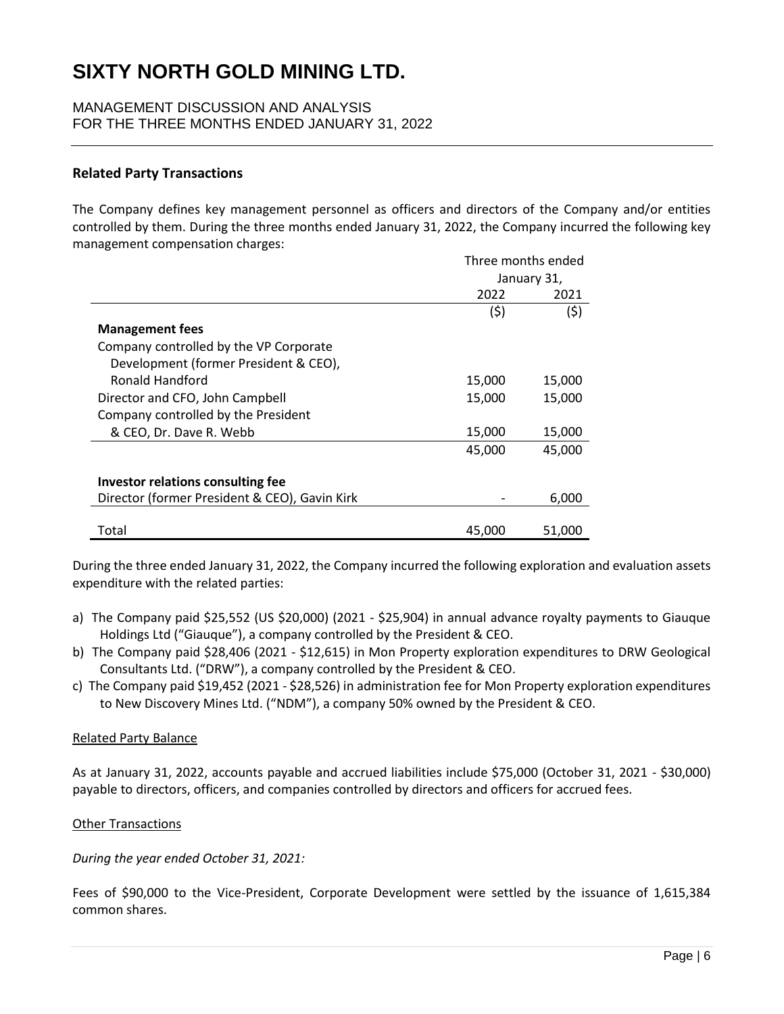MANAGEMENT DISCUSSION AND ANALYSIS FOR THE THREE MONTHS ENDED JANUARY 31, 2022

#### **Related Party Transactions**

The Company defines key management personnel as officers and directors of the Company and/or entities controlled by them. During the three months ended January 31, 2022, the Company incurred the following key management compensation charges:

|                                               |        | Three months ended |  |  |
|-----------------------------------------------|--------|--------------------|--|--|
|                                               |        | January 31,        |  |  |
|                                               | 2022   | 2021               |  |  |
|                                               | (\$)   | (\$)               |  |  |
| <b>Management fees</b>                        |        |                    |  |  |
| Company controlled by the VP Corporate        |        |                    |  |  |
| Development (former President & CEO),         |        |                    |  |  |
| Ronald Handford                               | 15,000 | 15,000             |  |  |
| Director and CFO, John Campbell               | 15,000 | 15,000             |  |  |
| Company controlled by the President           |        |                    |  |  |
| & CEO, Dr. Dave R. Webb                       | 15,000 | 15,000             |  |  |
|                                               | 45,000 | 45,000             |  |  |
| <b>Investor relations consulting fee</b>      |        |                    |  |  |
| Director (former President & CEO), Gavin Kirk |        | 6,000              |  |  |
| Total                                         | 45,000 | 51,000             |  |  |

During the three ended January 31, 2022, the Company incurred the following exploration and evaluation assets expenditure with the related parties:

- a) The Company paid \$25,552 (US \$20,000) (2021 \$25,904) in annual advance royalty payments to Giauque Holdings Ltd ("Giauque"), a company controlled by the President & CEO.
- b) The Company paid \$28,406 (2021 \$12,615) in Mon Property exploration expenditures to DRW Geological Consultants Ltd. ("DRW"), a company controlled by the President & CEO.
- c) The Company paid \$19,452 (2021 \$28,526) in administration fee for Mon Property exploration expenditures to New Discovery Mines Ltd. ("NDM"), a company 50% owned by the President & CEO.

#### Related Party Balance

As at January 31, 2022, accounts payable and accrued liabilities include \$75,000 (October 31, 2021 - \$30,000) payable to directors, officers, and companies controlled by directors and officers for accrued fees.

#### Other Transactions

#### *During the year ended October 31, 2021:*

Fees of \$90,000 to the Vice-President, Corporate Development were settled by the issuance of 1,615,384 common shares.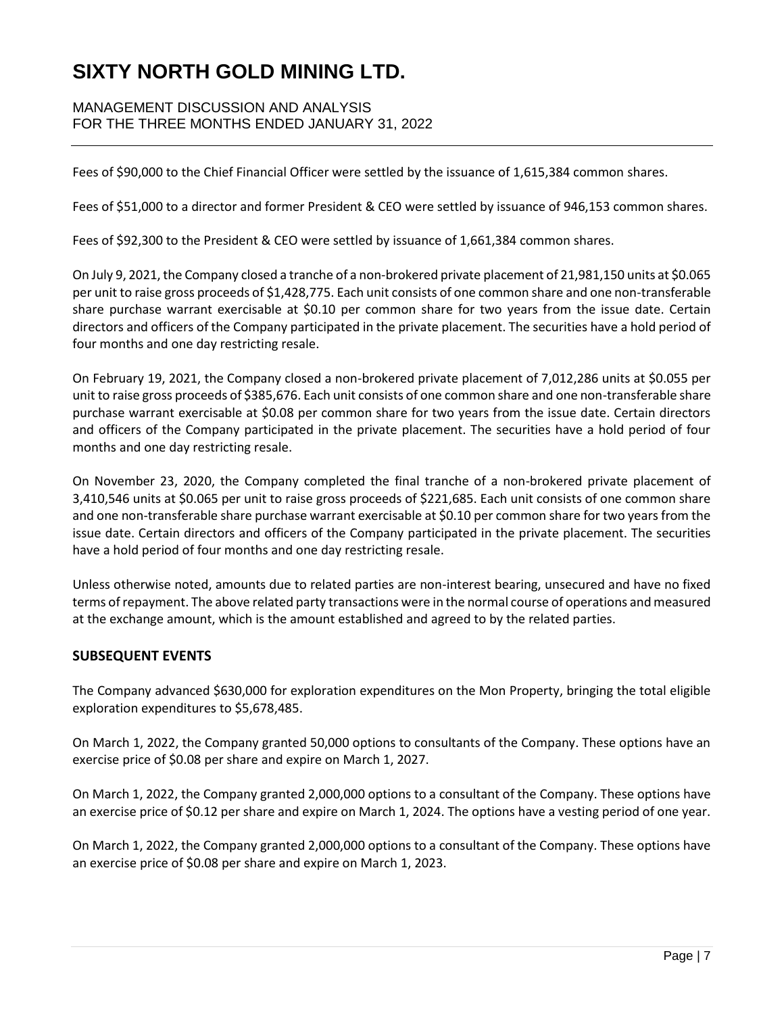## MANAGEMENT DISCUSSION AND ANALYSIS FOR THE THREE MONTHS ENDED JANUARY 31, 2022

Fees of \$90,000 to the Chief Financial Officer were settled by the issuance of 1,615,384 common shares.

Fees of \$51,000 to a director and former President & CEO were settled by issuance of 946,153 common shares.

Fees of \$92,300 to the President & CEO were settled by issuance of 1,661,384 common shares.

On July 9, 2021, the Company closed a tranche of a non-brokered private placement of 21,981,150 units at \$0.065 per unit to raise gross proceeds of \$1,428,775. Each unit consists of one common share and one non-transferable share purchase warrant exercisable at \$0.10 per common share for two years from the issue date. Certain directors and officers of the Company participated in the private placement. The securities have a hold period of four months and one day restricting resale.

On February 19, 2021, the Company closed a non-brokered private placement of 7,012,286 units at \$0.055 per unit to raise gross proceeds of \$385,676. Each unit consists of one common share and one non-transferable share purchase warrant exercisable at \$0.08 per common share for two years from the issue date. Certain directors and officers of the Company participated in the private placement. The securities have a hold period of four months and one day restricting resale.

On November 23, 2020, the Company completed the final tranche of a non-brokered private placement of 3,410,546 units at \$0.065 per unit to raise gross proceeds of \$221,685. Each unit consists of one common share and one non-transferable share purchase warrant exercisable at \$0.10 per common share for two years from the issue date. Certain directors and officers of the Company participated in the private placement. The securities have a hold period of four months and one day restricting resale.

Unless otherwise noted, amounts due to related parties are non-interest bearing, unsecured and have no fixed terms of repayment. The above related party transactions were in the normal course of operations and measured at the exchange amount, which is the amount established and agreed to by the related parties.

## **SUBSEQUENT EVENTS**

The Company advanced \$630,000 for exploration expenditures on the Mon Property, bringing the total eligible exploration expenditures to \$5,678,485.

On March 1, 2022, the Company granted 50,000 options to consultants of the Company. These options have an exercise price of \$0.08 per share and expire on March 1, 2027.

On March 1, 2022, the Company granted 2,000,000 options to a consultant of the Company. These options have an exercise price of \$0.12 per share and expire on March 1, 2024. The options have a vesting period of one year.

On March 1, 2022, the Company granted 2,000,000 options to a consultant of the Company. These options have an exercise price of \$0.08 per share and expire on March 1, 2023.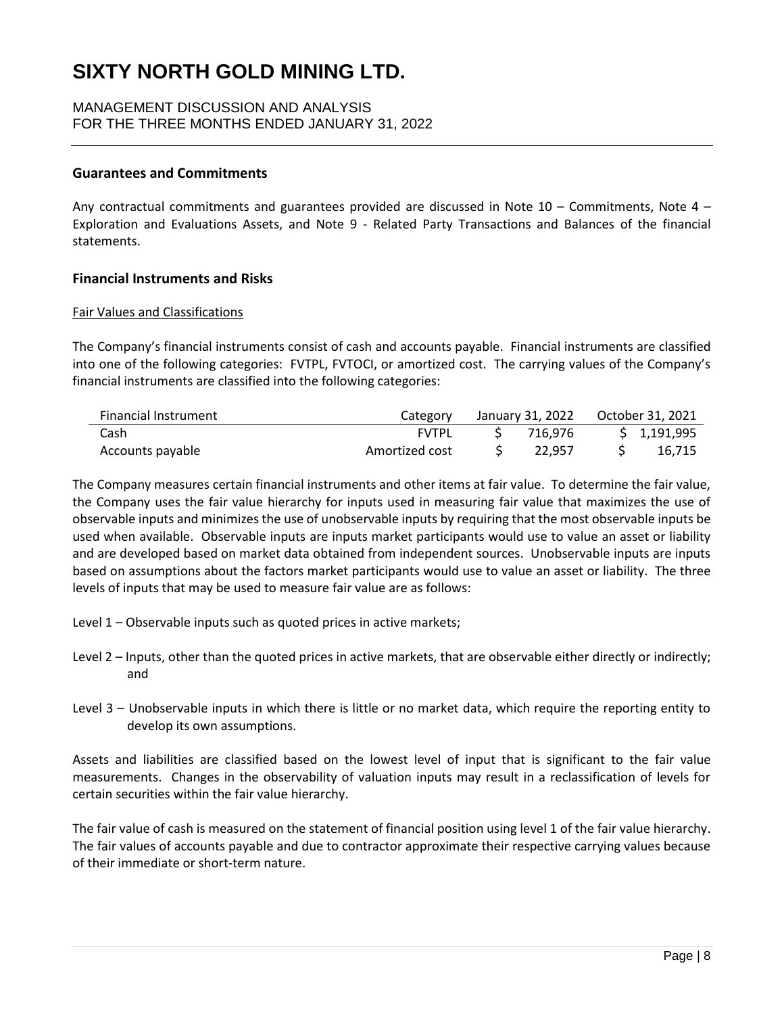### MANAGEMENT DISCUSSION AND ANALYSIS FOR THE THREE MONTHS ENDED JANUARY 31, 2022

#### **Guarantees and Commitments**

Any contractual commitments and guarantees provided are discussed in Note 10 – Commitments, Note 4 – Exploration and Evaluations Assets, and Note 9 - Related Party Transactions and Balances of the financial statements.

#### **Financial Instruments and Risks**

#### Fair Values and Classifications

The Company's financial instruments consist of cash and accounts payable. Financial instruments are classified into one of the following categories: FVTPL, FVTOCI, or amortized cost. The carrying values of the Company's financial instruments are classified into the following categories:

| <b>Financial Instrument</b> | Category       | January 31, 2022    Qctober 31, 2021 |             |
|-----------------------------|----------------|--------------------------------------|-------------|
| Cash                        | FVTPL          | 716.976                              | \$1,191,995 |
| Accounts payable            | Amortized cost | 22.957                               | 16,715      |

The Company measures certain financial instruments and other items at fair value. To determine the fair value, the Company uses the fair value hierarchy for inputs used in measuring fair value that maximizes the use of observable inputs and minimizes the use of unobservable inputs by requiring that the most observable inputs be used when available. Observable inputs are inputs market participants would use to value an asset or liability and are developed based on market data obtained from independent sources. Unobservable inputs are inputs based on assumptions about the factors market participants would use to value an asset or liability. The three levels of inputs that may be used to measure fair value are as follows:

- Level 1 Observable inputs such as quoted prices in active markets;
- Level 2 Inputs, other than the quoted prices in active markets, that are observable either directly or indirectly; and
- Level 3 Unobservable inputs in which there is little or no market data, which require the reporting entity to develop its own assumptions.

Assets and liabilities are classified based on the lowest level of input that is significant to the fair value measurements. Changes in the observability of valuation inputs may result in a reclassification of levels for certain securities within the fair value hierarchy.

The fair value of cash is measured on the statement of financial position using level 1 of the fair value hierarchy. The fair values of accounts payable and due to contractor approximate their respective carrying values because of their immediate or short-term nature.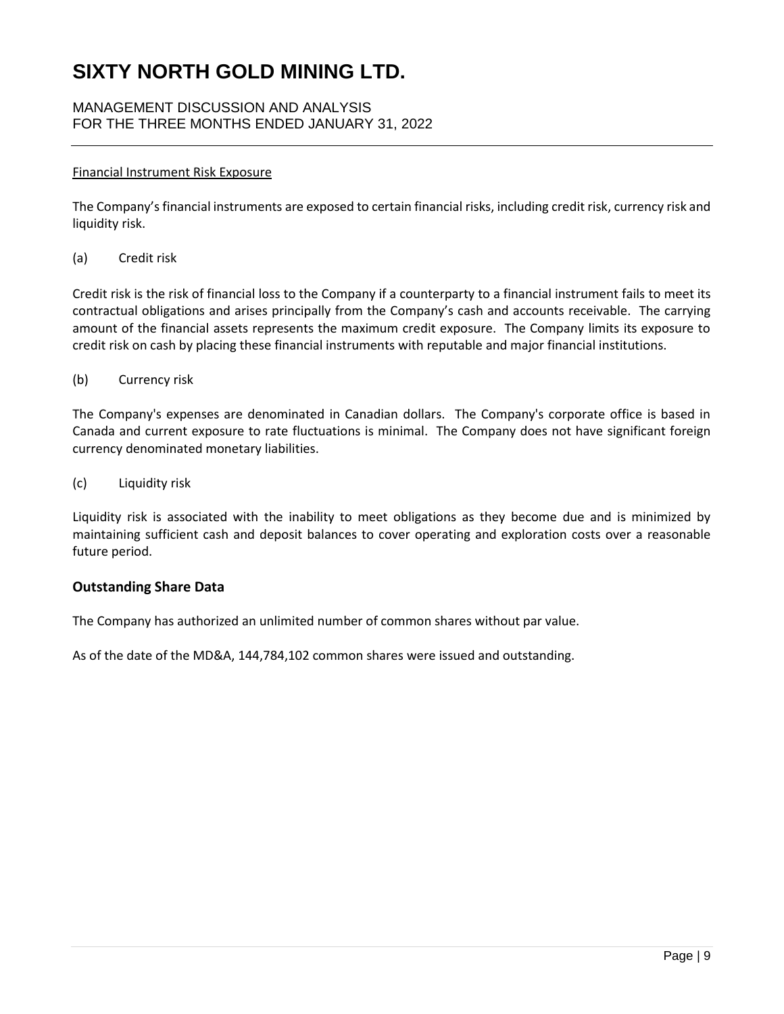## MANAGEMENT DISCUSSION AND ANALYSIS FOR THE THREE MONTHS ENDED JANUARY 31, 2022

### Financial Instrument Risk Exposure

The Company's financial instruments are exposed to certain financial risks, including credit risk, currency risk and liquidity risk.

(a) Credit risk

Credit risk is the risk of financial loss to the Company if a counterparty to a financial instrument fails to meet its contractual obligations and arises principally from the Company's cash and accounts receivable. The carrying amount of the financial assets represents the maximum credit exposure. The Company limits its exposure to credit risk on cash by placing these financial instruments with reputable and major financial institutions.

(b) Currency risk

The Company's expenses are denominated in Canadian dollars. The Company's corporate office is based in Canada and current exposure to rate fluctuations is minimal. The Company does not have significant foreign currency denominated monetary liabilities.

(c) Liquidity risk

Liquidity risk is associated with the inability to meet obligations as they become due and is minimized by maintaining sufficient cash and deposit balances to cover operating and exploration costs over a reasonable future period.

## **Outstanding Share Data**

The Company has authorized an unlimited number of common shares without par value.

As of the date of the MD&A, 144,784,102 common shares were issued and outstanding.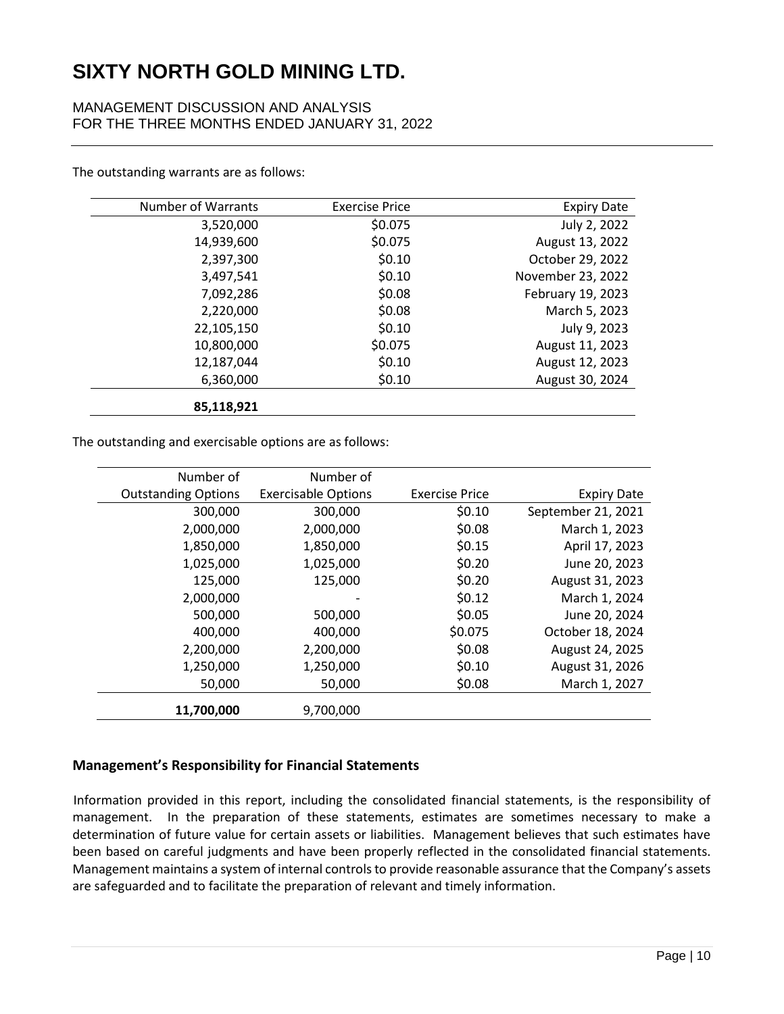## MANAGEMENT DISCUSSION AND ANALYSIS FOR THE THREE MONTHS ENDED JANUARY 31, 2022

| <b>Number of Warrants</b> | <b>Exercise Price</b> | <b>Expiry Date</b> |
|---------------------------|-----------------------|--------------------|
| 3,520,000                 | \$0.075               | July 2, 2022       |
| 14,939,600                | \$0.075               | August 13, 2022    |
| 2,397,300                 | \$0.10                | October 29, 2022   |
| 3,497,541                 | \$0.10                | November 23, 2022  |
| 7,092,286                 | \$0.08                | February 19, 2023  |
| 2,220,000                 | \$0.08                | March 5, 2023      |
| 22,105,150                | \$0.10                | July 9, 2023       |
| 10,800,000                | \$0.075               | August 11, 2023    |
| 12,187,044                | \$0.10                | August 12, 2023    |
| 6,360,000                 | \$0.10                | August 30, 2024    |
| 85,118,921                |                       |                    |

The outstanding warrants are as follows:

The outstanding and exercisable options are as follows:

| Number of                  | Number of                  |                       |                    |
|----------------------------|----------------------------|-----------------------|--------------------|
| <b>Outstanding Options</b> | <b>Exercisable Options</b> | <b>Exercise Price</b> | <b>Expiry Date</b> |
| 300,000                    | 300,000                    | \$0.10                | September 21, 2021 |
| 2,000,000                  | 2,000,000                  | \$0.08                | March 1, 2023      |
| 1,850,000                  | 1,850,000                  | \$0.15                | April 17, 2023     |
| 1,025,000                  | 1,025,000                  | \$0.20                | June 20, 2023      |
| 125,000                    | 125,000                    | \$0.20                | August 31, 2023    |
| 2,000,000                  | $\overline{\phantom{a}}$   | \$0.12                | March 1, 2024      |
| 500,000                    | 500,000                    | \$0.05                | June 20, 2024      |
| 400,000                    | 400,000                    | \$0.075               | October 18, 2024   |
| 2,200,000                  | 2,200,000                  | \$0.08                | August 24, 2025    |
| 1,250,000                  | 1,250,000                  | \$0.10                | August 31, 2026    |
| 50,000                     | 50,000                     | \$0.08                | March 1, 2027      |
| 11,700,000                 | 9,700,000                  |                       |                    |

## **Management's Responsibility for Financial Statements**

Information provided in this report, including the consolidated financial statements, is the responsibility of management. In the preparation of these statements, estimates are sometimes necessary to make a determination of future value for certain assets or liabilities. Management believes that such estimates have been based on careful judgments and have been properly reflected in the consolidated financial statements. Management maintains a system of internal controls to provide reasonable assurance that the Company's assets are safeguarded and to facilitate the preparation of relevant and timely information.